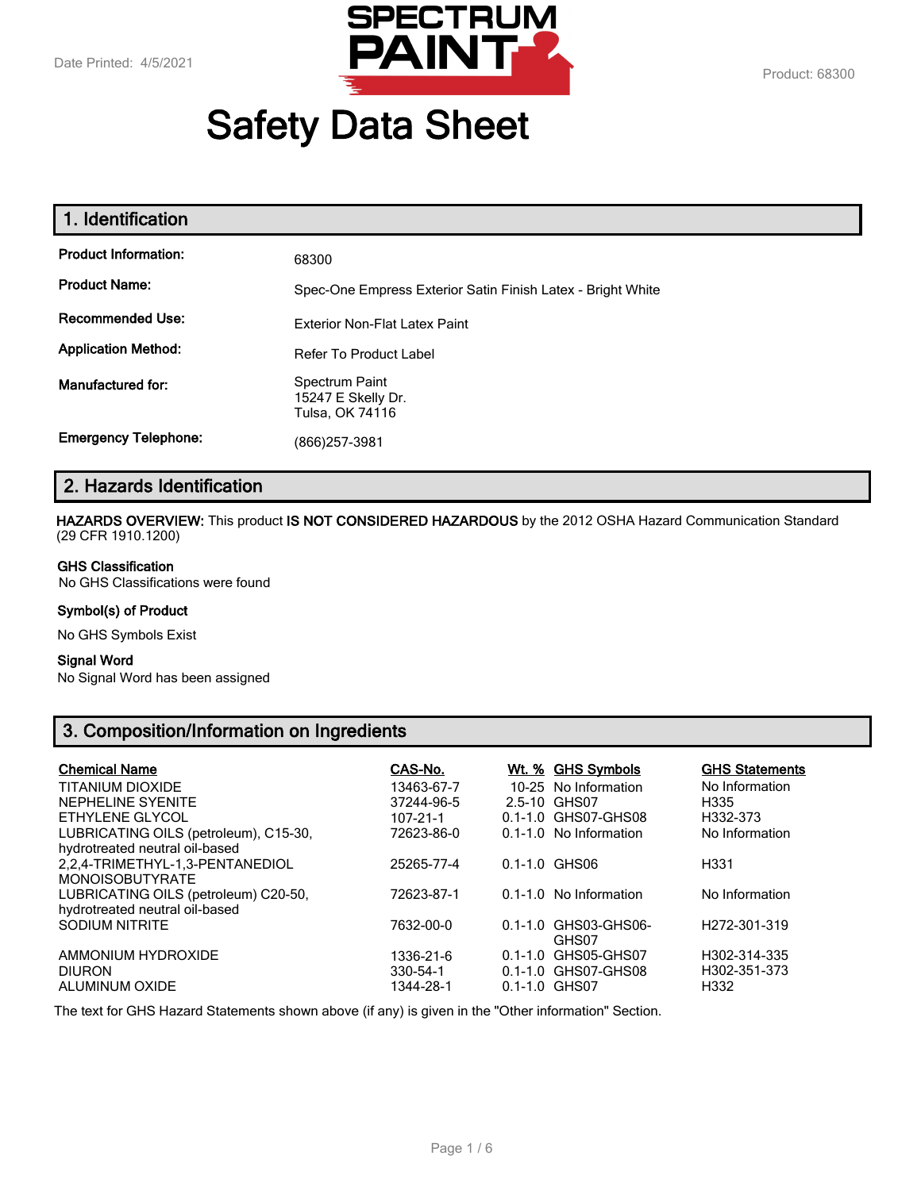

# **Safety Data Sheet**

| 68300                                                       |
|-------------------------------------------------------------|
| Spec-One Empress Exterior Satin Finish Latex - Bright White |
| <b>Exterior Non-Flat Latex Paint</b>                        |
| <b>Refer To Product Label</b>                               |
| Spectrum Paint<br>15247 E Skelly Dr.<br>Tulsa, OK 74116     |
| (866) 257-3981                                              |
|                                                             |

# **2. Hazards Identification**

**HAZARDS OVERVIEW:** This product **IS NOT CONSIDERED HAZARDOUS** by the 2012 OSHA Hazard Communication Standard (29 CFR 1910.1200)

#### **GHS Classification**

No GHS Classifications were found

#### **Symbol(s) of Product**

No GHS Symbols Exist

#### **Signal Word**

No Signal Word has been assigned

# **3. Composition/Information on Ingredients**

| <b>Chemical Name</b>                                                    | CAS-No.    | <u>Wt. % GHS Symbols</u>      | <b>GHS Statements</b>     |
|-------------------------------------------------------------------------|------------|-------------------------------|---------------------------|
| <b>TITANIUM DIOXIDE</b>                                                 | 13463-67-7 | 10-25 No Information          | No Information            |
| NEPHELINE SYENITE                                                       | 37244-96-5 | 2.5-10 GHS07                  | H335                      |
| ETHYLENE GLYCOL                                                         | 107-21-1   | 0.1-1.0 GHS07-GHS08           | H332-373                  |
| LUBRICATING OILS (petroleum), C15-30,<br>hydrotreated neutral oil-based | 72623-86-0 | 0.1-1.0 No Information        | No Information            |
| 2.2.4-TRIMETHYL-1.3-PENTANEDIOL<br><b>MONOISOBUTYRATE</b>               | 25265-77-4 | $0.1 - 1.0$ GHS06             | H331                      |
| LUBRICATING OILS (petroleum) C20-50,<br>hydrotreated neutral oil-based  | 72623-87-1 | 0.1-1.0 No Information        | No Information            |
| <b>SODIUM NITRITE</b>                                                   | 7632-00-0  | 0.1-1.0 GHS03-GHS06-<br>GHS07 | H <sub>272</sub> -301-319 |
| AMMONIUM HYDROXIDE                                                      | 1336-21-6  | 0.1-1.0 GHS05-GHS07           | H302-314-335              |
| <b>DIURON</b>                                                           | 330-54-1   | 0.1-1.0 GHS07-GHS08           | H302-351-373              |
| ALUMINUM OXIDE                                                          | 1344-28-1  | $0.1 - 1.0$ GHS07             | H332                      |

The text for GHS Hazard Statements shown above (if any) is given in the "Other information" Section.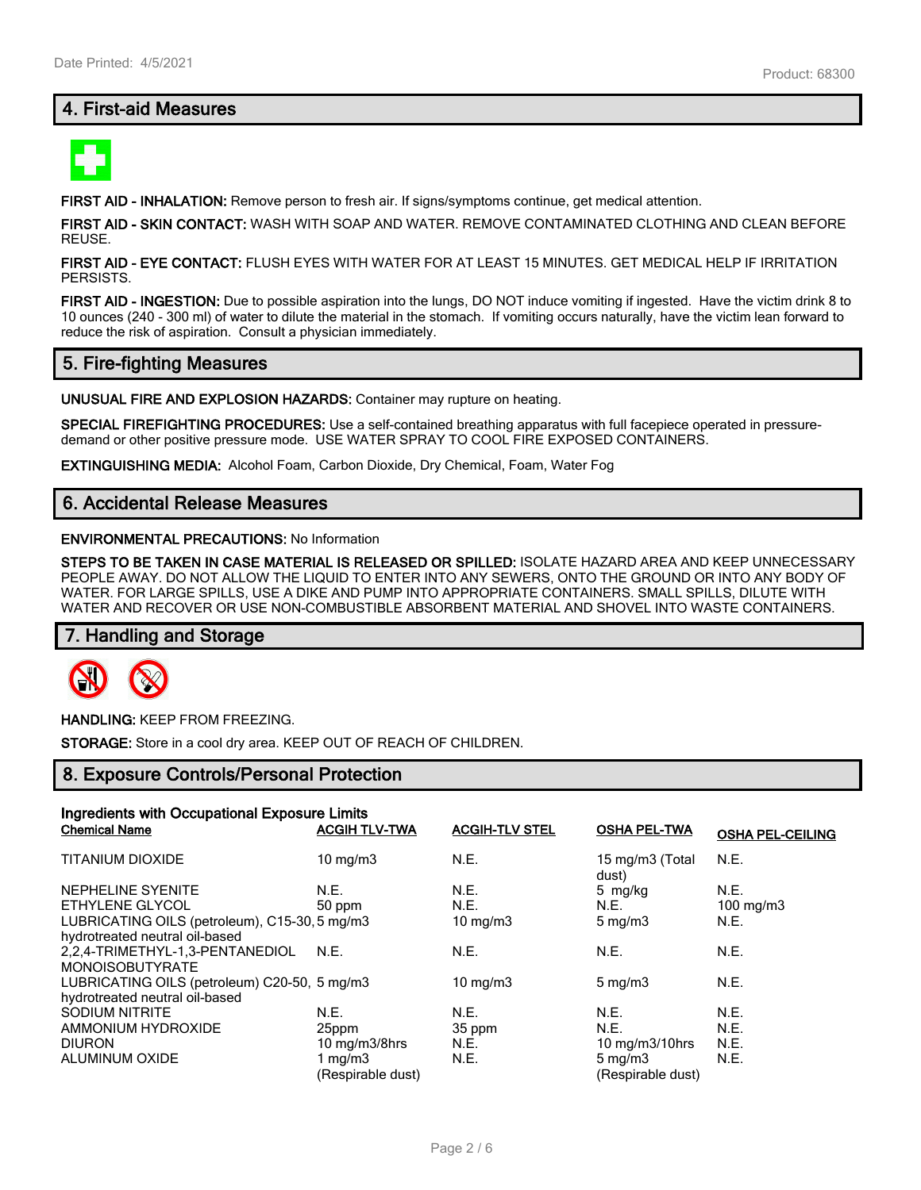# **4. First-aid Measures**



**FIRST AID - INHALATION:** Remove person to fresh air. If signs/symptoms continue, get medical attention.

**FIRST AID - SKIN CONTACT:** WASH WITH SOAP AND WATER. REMOVE CONTAMINATED CLOTHING AND CLEAN BEFORE REUSE.

**FIRST AID - EYE CONTACT:** FLUSH EYES WITH WATER FOR AT LEAST 15 MINUTES. GET MEDICAL HELP IF IRRITATION PERSISTS.

**FIRST AID - INGESTION:** Due to possible aspiration into the lungs, DO NOT induce vomiting if ingested. Have the victim drink 8 to 10 ounces (240 - 300 ml) of water to dilute the material in the stomach. If vomiting occurs naturally, have the victim lean forward to reduce the risk of aspiration. Consult a physician immediately.

## **5. Fire-fighting Measures**

**UNUSUAL FIRE AND EXPLOSION HAZARDS:** Container may rupture on heating.

**SPECIAL FIREFIGHTING PROCEDURES:** Use a self-contained breathing apparatus with full facepiece operated in pressuredemand or other positive pressure mode. USE WATER SPRAY TO COOL FIRE EXPOSED CONTAINERS.

**EXTINGUISHING MEDIA:** Alcohol Foam, Carbon Dioxide, Dry Chemical, Foam, Water Fog

## **6. Accidental Release Measures**

#### **ENVIRONMENTAL PRECAUTIONS:** No Information

**STEPS TO BE TAKEN IN CASE MATERIAL IS RELEASED OR SPILLED:** ISOLATE HAZARD AREA AND KEEP UNNECESSARY PEOPLE AWAY. DO NOT ALLOW THE LIQUID TO ENTER INTO ANY SEWERS, ONTO THE GROUND OR INTO ANY BODY OF WATER. FOR LARGE SPILLS, USE A DIKE AND PUMP INTO APPROPRIATE CONTAINERS. SMALL SPILLS, DILUTE WITH WATER AND RECOVER OR USE NON-COMBUSTIBLE ABSORBENT MATERIAL AND SHOVEL INTO WASTE CONTAINERS.

## **7. Handling and Storage**



**HANDLING:** KEEP FROM FREEZING.

**STORAGE:** Store in a cool dry area. KEEP OUT OF REACH OF CHILDREN.

## **8. Exposure Controls/Personal Protection**

| Ingredients with Occupational Exposure Limits |                             |                       |                          |                         |
|-----------------------------------------------|-----------------------------|-----------------------|--------------------------|-------------------------|
| <b>Chemical Name</b>                          | <b>ACGIH TLV-TWA</b>        | <b>ACGIH-TLV STEL</b> | <b>OSHA PEL-TWA</b>      | <b>OSHA PEL-CEILING</b> |
| <b>TITANIUM DIOXIDE</b>                       | $10 \text{ mg/m}$           | N.E.                  | 15 mg/m3 (Total<br>dust) | N.E.                    |
| NEPHELINE SYENITE                             | N.E.                        | N.E.                  | 5 mg/kg                  | N.E.                    |
| ETHYLENE GLYCOL                               | 50 ppm                      | N.E.                  | N.E.                     | 100 mg/m3               |
| LUBRICATING OILS (petroleum), C15-30, 5 mg/m3 |                             | 10 mg/m $3$           | $5 \text{ mg/m}$         | N.E.                    |
| hydrotreated neutral oil-based                |                             |                       |                          |                         |
| 2.2.4-TRIMETHYL-1.3-PENTANEDIOL               | N.E.                        | N.E.                  | N.E.                     | N.E.                    |
| <b>MONOISOBUTYRATE</b>                        |                             |                       |                          |                         |
| LUBRICATING OILS (petroleum) C20-50, 5 mg/m3  |                             | 10 mg/m $3$           | $5 \text{ mg/m}$         | N.E.                    |
| hydrotreated neutral oil-based                |                             |                       |                          |                         |
| <b>SODIUM NITRITE</b>                         | N.E.                        | N.E.                  | N.E.                     | N.E.                    |
| AMMONIUM HYDROXIDE                            | 25ppm                       | 35 ppm                | N.E.                     | N.E.                    |
| <b>DIURON</b>                                 | $10 \text{ mg/m}$ $3/8$ hrs | N.E.                  | 10 $mg/m3/10$ hrs        | N.E.                    |
| ALUMINUM OXIDE                                | 1 mg/m $3$                  | N.E.                  | $5 \text{ mg/m}$         | N.E.                    |
|                                               | (Respirable dust)           |                       | (Respirable dust)        |                         |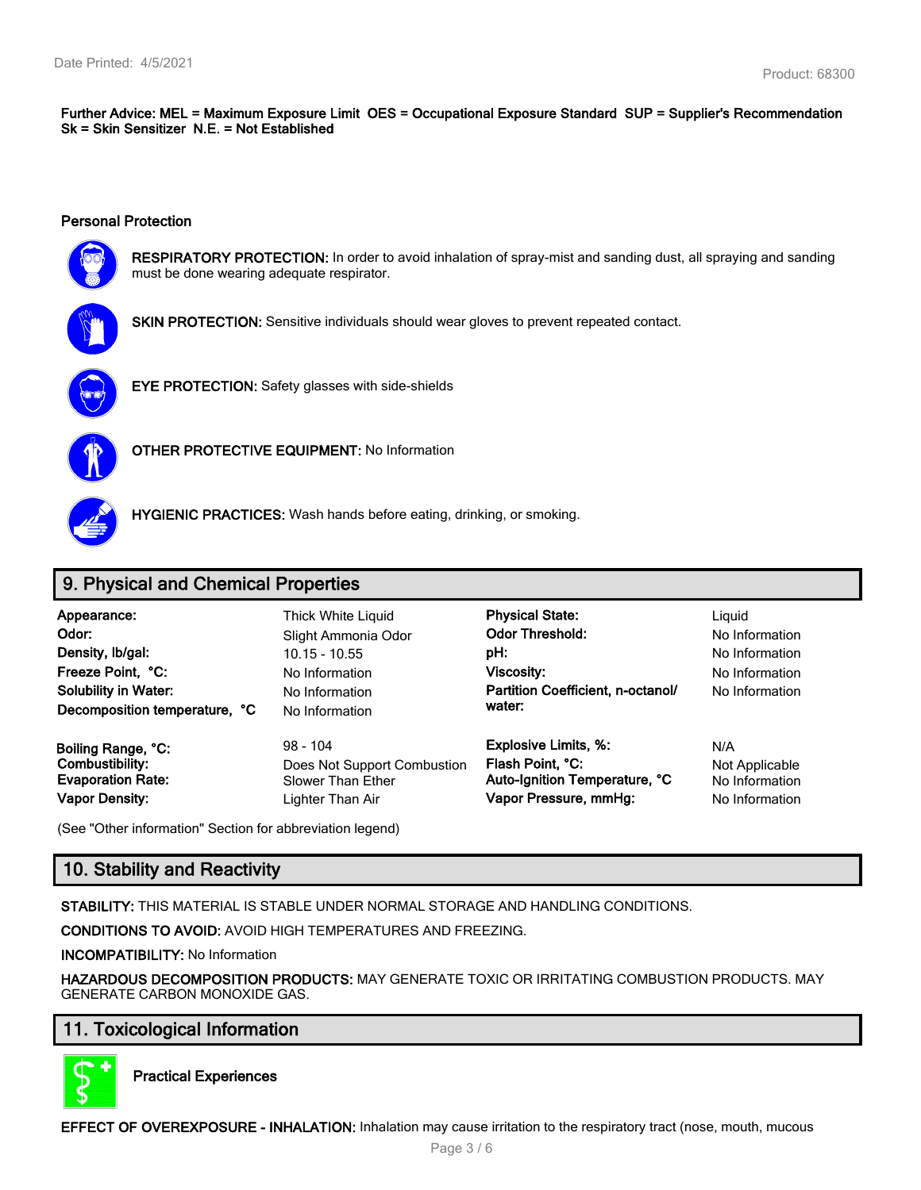**Further Advice: MEL = Maximum Exposure Limit OES = Occupational Exposure Standard SUP = Supplier's Recommendation Sk = Skin Sensitizer N.E. = Not Established**

#### **Personal Protection**



**RESPIRATORY PROTECTION:** In order to avoid inhalation of spray-mist and sanding dust, all spraying and sanding must be done wearing adequate respirator.



**SKIN PROTECTION:** Sensitive individuals should wear gloves to prevent repeated contact.



**EYE PROTECTION:** Safety glasses with side-shields



**OTHER PROTECTIVE EQUIPMENT:** No Information



**HYGIENIC PRACTICES:** Wash hands before eating, drinking, or smoking.

# **9. Physical and Chemical Properties**

| Appearance:<br>Odor:<br>Density, Ib/gal:<br>Freeze Point, °C:<br><b>Solubility in Water:</b><br>Decomposition temperature, °C | Thick White Liquid<br>Slight Ammonia Odor<br>$10.15 - 10.55$<br>No Information<br>No Information<br>No Information | <b>Physical State:</b><br><b>Odor Threshold:</b><br>pH:<br><b>Viscosity:</b><br>Partition Coefficient, n-octanol/<br>water: | Liauid<br>No Information<br>No Information<br>No Information<br>No Information |
|-------------------------------------------------------------------------------------------------------------------------------|--------------------------------------------------------------------------------------------------------------------|-----------------------------------------------------------------------------------------------------------------------------|--------------------------------------------------------------------------------|
| Boiling Range, °C:                                                                                                            | $98 - 104$                                                                                                         | <b>Explosive Limits, %:</b>                                                                                                 | N/A                                                                            |
| Combustibility:                                                                                                               | Does Not Support Combustion                                                                                        | Flash Point, °C:                                                                                                            | Not Applicable                                                                 |
| <b>Evaporation Rate:</b>                                                                                                      | Slower Than Ether                                                                                                  | Auto-Ignition Temperature, °C                                                                                               | No Information                                                                 |
| <b>Vapor Density:</b>                                                                                                         | Lighter Than Air                                                                                                   | Vapor Pressure, mmHg:                                                                                                       | No Information                                                                 |

(See "Other information" Section for abbreviation legend)

# **10. Stability and Reactivity**

**STABILITY:** THIS MATERIAL IS STABLE UNDER NORMAL STORAGE AND HANDLING CONDITIONS.

**CONDITIONS TO AVOID:** AVOID HIGH TEMPERATURES AND FREEZING.

**INCOMPATIBILITY:** No Information

**HAZARDOUS DECOMPOSITION PRODUCTS:** MAY GENERATE TOXIC OR IRRITATING COMBUSTION PRODUCTS. MAY GENERATE CARBON MONOXIDE GAS.

# **11. Toxicological Information**



**Practical Experiences**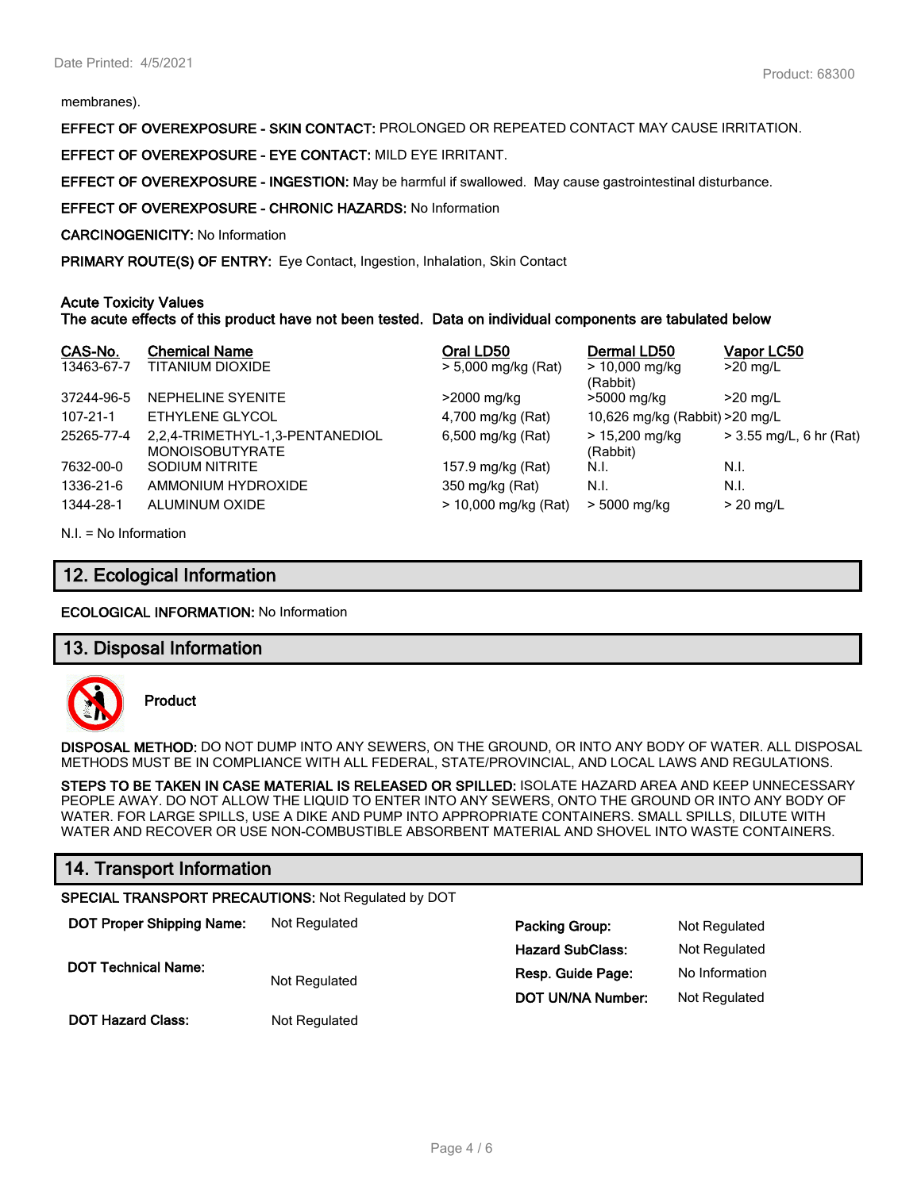membranes).

**EFFECT OF OVEREXPOSURE - SKIN CONTACT:** PROLONGED OR REPEATED CONTACT MAY CAUSE IRRITATION.

**EFFECT OF OVEREXPOSURE - EYE CONTACT:** MILD EYE IRRITANT.

**EFFECT OF OVEREXPOSURE - INGESTION:** May be harmful if swallowed. May cause gastrointestinal disturbance.

**EFFECT OF OVEREXPOSURE - CHRONIC HAZARDS:** No Information

**CARCINOGENICITY:** No Information

**PRIMARY ROUTE(S) OF ENTRY:** Eye Contact, Ingestion, Inhalation, Skin Contact

#### **Acute Toxicity Values**

**The acute effects of this product have not been tested. Data on individual components are tabulated below**

| CAS-No.    | <b>Chemical Name</b>                                      | Oral LD50              | Dermal LD50                     | Vapor LC50              |
|------------|-----------------------------------------------------------|------------------------|---------------------------------|-------------------------|
| 13463-67-7 | TITANIUM DIOXIDE                                          | > 5,000 mg/kg (Rat)    | $> 10,000$ mg/kg<br>(Rabbit)    | $>20$ mg/L              |
| 37244-96-5 | NEPHELINE SYENITE                                         | >2000 mg/kg            | >5000 mg/kg                     | $>20$ mg/L              |
| 107-21-1   | ETHYLENE GLYCOL                                           | 4,700 mg/kg (Rat)      | 10,626 mg/kg (Rabbit) > 20 mg/L |                         |
| 25265-77-4 | 2,2,4-TRIMETHYL-1,3-PENTANEDIOL<br><b>MONOISOBUTYRATE</b> | 6,500 mg/kg (Rat)      | $> 15,200$ mg/kg<br>(Rabbit)    | > 3.55 mg/L, 6 hr (Rat) |
| 7632-00-0  | SODIUM NITRITE                                            | 157.9 mg/kg (Rat)      | N.I.                            | N.I.                    |
| 1336-21-6  | AMMONIUM HYDROXIDE                                        | 350 mg/kg (Rat)        | N.I.                            | N.I.                    |
| 1344-28-1  | ALUMINUM OXIDE                                            | $> 10,000$ mg/kg (Rat) | > 5000 mg/kg                    | $>$ 20 mg/L             |

N.I. = No Information

## **12. Ecological Information**

**ECOLOGICAL INFORMATION:** No Information

## **13. Disposal Information**



**Product**

**DISPOSAL METHOD:** DO NOT DUMP INTO ANY SEWERS, ON THE GROUND, OR INTO ANY BODY OF WATER. ALL DISPOSAL METHODS MUST BE IN COMPLIANCE WITH ALL FEDERAL, STATE/PROVINCIAL, AND LOCAL LAWS AND REGULATIONS.

**STEPS TO BE TAKEN IN CASE MATERIAL IS RELEASED OR SPILLED:** ISOLATE HAZARD AREA AND KEEP UNNECESSARY PEOPLE AWAY. DO NOT ALLOW THE LIQUID TO ENTER INTO ANY SEWERS, ONTO THE GROUND OR INTO ANY BODY OF WATER. FOR LARGE SPILLS, USE A DIKE AND PUMP INTO APPROPRIATE CONTAINERS. SMALL SPILLS, DILUTE WITH WATER AND RECOVER OR USE NON-COMBUSTIBLE ABSORBENT MATERIAL AND SHOVEL INTO WASTE CONTAINERS.

# **14. Transport Information**

#### **SPECIAL TRANSPORT PRECAUTIONS:** Not Regulated by DOT

| <b>DOT Proper Shipping Name:</b> | Not Regulated | <b>Packing Group:</b>   | Not Regulated  |
|----------------------------------|---------------|-------------------------|----------------|
|                                  |               | <b>Hazard SubClass:</b> | Not Regulated  |
| <b>DOT Technical Name:</b>       | Not Regulated | Resp. Guide Page:       | No Information |
|                                  |               | DOT UN/NA Number:       | Not Regulated  |
| <b>DOT Hazard Class:</b>         | Not Regulated |                         |                |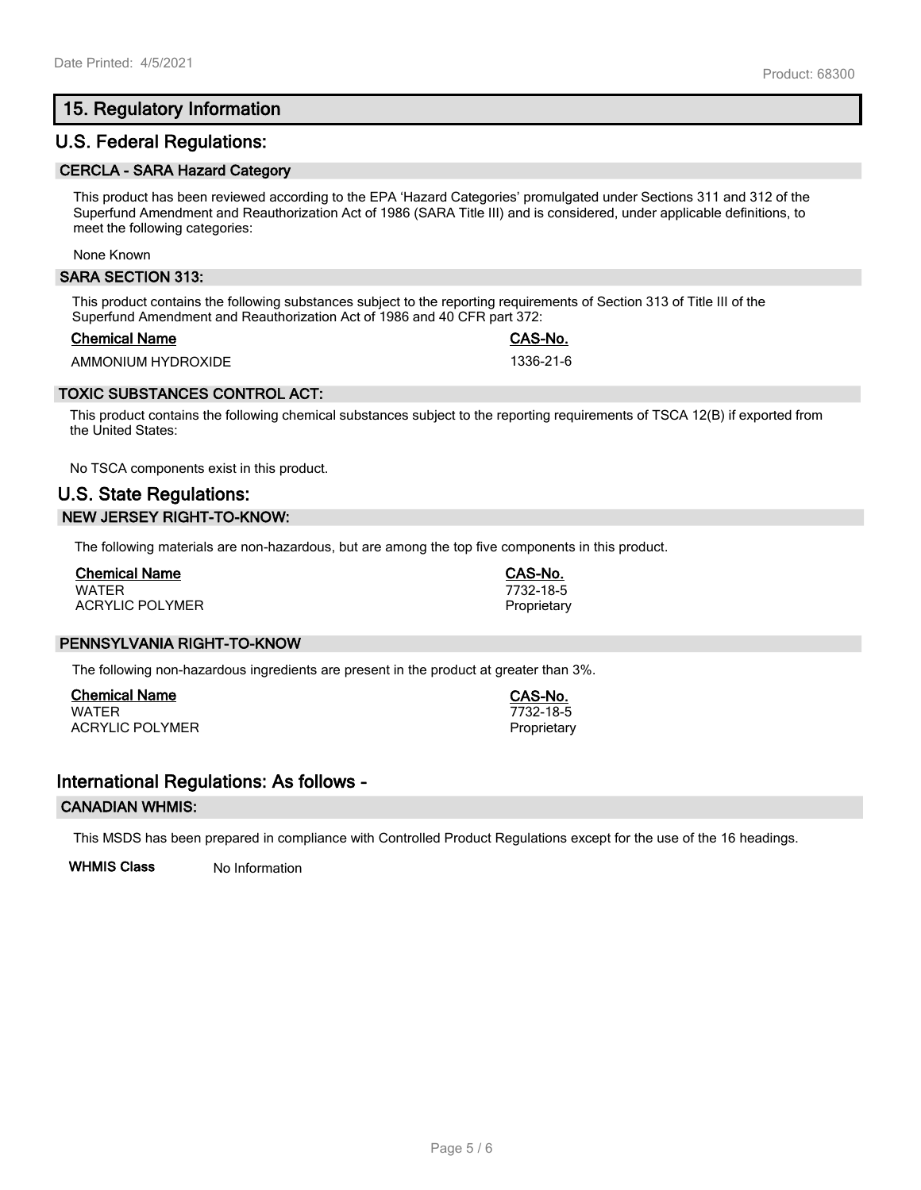# **15. Regulatory Information**

## **U.S. Federal Regulations:**

#### **CERCLA - SARA Hazard Category**

This product has been reviewed according to the EPA 'Hazard Categories' promulgated under Sections 311 and 312 of the Superfund Amendment and Reauthorization Act of 1986 (SARA Title III) and is considered, under applicable definitions, to meet the following categories:

None Known

#### **SARA SECTION 313:**

This product contains the following substances subject to the reporting requirements of Section 313 of Title III of the Superfund Amendment and Reauthorization Act of 1986 and 40 CFR part 372:

#### **Chemical Name CAS-No.**

AMMONIUM HYDROXIDE 1336-21-6

### **TOXIC SUBSTANCES CONTROL ACT:**

This product contains the following chemical substances subject to the reporting requirements of TSCA 12(B) if exported from the United States:

No TSCA components exist in this product.

# **U.S. State Regulations: NEW JERSEY RIGHT-TO-KNOW:**

The following materials are non-hazardous, but are among the top five components in this product.

| <b>Chemical Name</b>   |  |
|------------------------|--|
| <b>WATFR</b>           |  |
| <b>ACRYLIC POLYMER</b> |  |

## **PENNSYLVANIA RIGHT-TO-KNOW**

The following non-hazardous ingredients are present in the product at greater than 3%.

**Chemical Name CAS-No.** ACRYLIC POLYMER **Proprietary** Proprietary

## **International Regulations: As follows -**

#### **CANADIAN WHMIS:**

This MSDS has been prepared in compliance with Controlled Product Regulations except for the use of the 16 headings.

**WHMIS Class** No Information

WATER 7732-18-5

**Chemical Name CAS-No.** WATER 7732-18-5 Proprietary